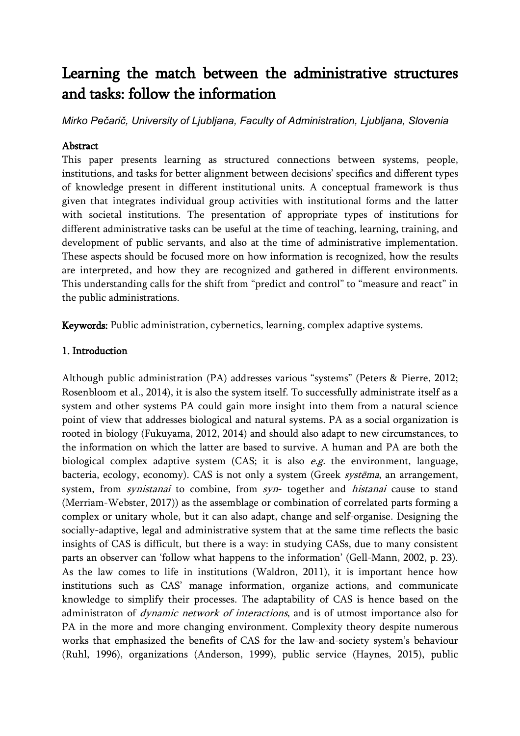# Learning the match between the administrative structures and tasks: follow the information

*Mirko Pečarič, University of Ljubljana, Faculty of Administration, Ljubljana, Slovenia*

## Abstract

This paper presents learning as structured connections between systems, people, institutions, and tasks for better alignment between decisions' specifics and different types of knowledge present in different institutional units. A conceptual framework is thus given that integrates individual group activities with institutional forms and the latter with societal institutions. The presentation of appropriate types of institutions for different administrative tasks can be useful at the time of teaching, learning, training, and development of public servants, and also at the time of administrative implementation. These aspects should be focused more on how information is recognized, how the results are interpreted, and how they are recognized and gathered in different environments. This understanding calls for the shift from "predict and control" to "measure and react" in the public administrations.

Keywords: Public administration, cybernetics, learning, complex adaptive systems.

## 1. Introduction

Although public administration (PA) addresses various "systems" (Peters & Pierre, 2012; Rosenbloom et al., 2014), it is also the system itself. To successfully administrate itself as a system and other systems PA could gain more insight into them from a natural science point of view that addresses biological and natural systems. PA as a social organization is rooted in biology (Fukuyama, 2012, 2014) and should also adapt to new circumstances, to the information on which the latter are based to survive. A human and PA are both the biological complex adaptive system  $(CAS;$  it is also  $e.g.$  the environment, language, bacteria, ecology, economy). CAS is not only a system (Greek systēma, an arrangement, system, from *synistanai* to combine, from *syn*- together and *histanai* cause to stand (Merriam-Webster, 2017)) as the assemblage or combination of correlated parts forming a complex or unitary whole, but it can also adapt, change and self-organise. Designing the socially-adaptive, legal and administrative system that at the same time reflects the basic insights of CAS is difficult, but there is a way: in studying CASs, due to many consistent parts an observer can 'follow what happens to the information' (Gell-Mann, 2002, p. 23). As the law comes to life in institutions (Waldron, 2011), it is important hence how institutions such as CAS' manage information, organize actions, and communicate knowledge to simplify their processes. The adaptability of CAS is hence based on the administraton of *dynamic network of interactions*, and is of utmost importance also for PA in the more and more changing environment. Complexity theory despite numerous works that emphasized the benefits of CAS for the law-and-society system's behaviour (Ruhl, 1996), organizations (Anderson, 1999), public service (Haynes, 2015), public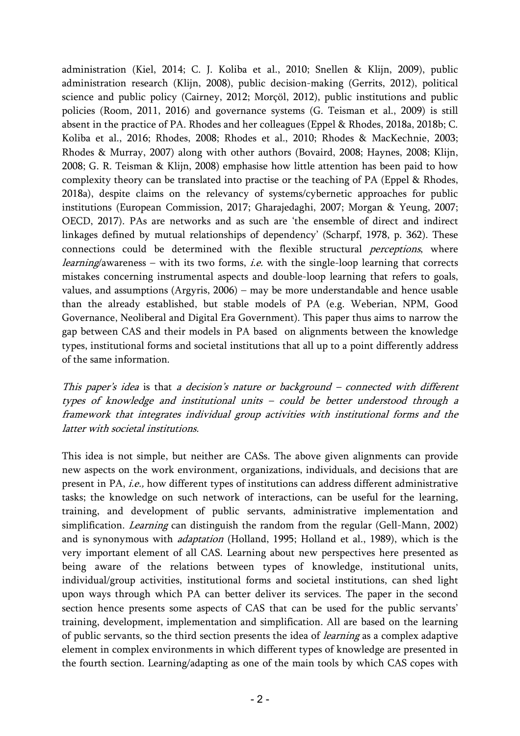administration (Kiel, 2014; C. J. Koliba et al., 2010; Snellen & Klijn, 2009), public administration research (Klijn, 2008), public decision-making (Gerrits, 2012), political science and public policy (Cairney, 2012; Morçöl, 2012), public institutions and public policies (Room, 2011, 2016) and governance systems (G. Teisman et al., 2009) is still absent in the practice of PA. Rhodes and her colleagues (Eppel & Rhodes, 2018a, 2018b; C. Koliba et al., 2016; Rhodes, 2008; Rhodes et al., 2010; Rhodes & MacKechnie, 2003; Rhodes & Murray, 2007) along with other authors (Bovaird, 2008; Haynes, 2008; Klijn, 2008; G. R. Teisman & Klijn, 2008) emphasise how little attention has been paid to how complexity theory can be translated into practise or the teaching of PA (Eppel & Rhodes, 2018a), despite claims on the relevancy of systems/cybernetic approaches for public institutions (European Commission, 2017; Gharajedaghi, 2007; Morgan & Yeung, 2007; OECD, 2017). PAs are networks and as such are 'the ensemble of direct and indirect linkages defined by mutual relationships of dependency' (Scharpf, 1978, p. 362). These connections could be determined with the flexible structural perceptions, where *learning*/awareness − with its two forms, *i.e.* with the single-loop learning that corrects mistakes concerning instrumental aspects and double-loop learning that refers to goals, values, and assumptions (Argyris, 2006) − may be more understandable and hence usable than the already established, but stable models of PA (e.g. Weberian, NPM, Good Governance, Neoliberal and Digital Era Government). This paper thus aims to narrow the gap between CAS and their models in PA based on alignments between the knowledge types, institutional forms and societal institutions that all up to a point differently address of the same information.

This paper's idea is that a decision's nature or background – connected with different types of knowledge and institutional units – could be better understood through a framework that integrates individual group activities with institutional forms and the latter with societal institutions.

This idea is not simple, but neither are CASs. The above given alignments can provide new aspects on the work environment, organizations, individuals, and decisions that are present in PA, i.e., how different types of institutions can address different administrative tasks; the knowledge on such network of interactions, can be useful for the learning, training, and development of public servants, administrative implementation and simplification. *Learning* can distinguish the random from the regular (Gell-Mann, 2002) and is synonymous with adaptation (Holland, 1995; Holland et al., 1989), which is the very important element of all CAS. Learning about new perspectives here presented as being aware of the relations between types of knowledge, institutional units, individual/group activities, institutional forms and societal institutions, can shed light upon ways through which PA can better deliver its services. The paper in the second section hence presents some aspects of CAS that can be used for the public servants' training, development, implementation and simplification. All are based on the learning of public servants, so the third section presents the idea of *learning* as a complex adaptive element in complex environments in which different types of knowledge are presented in the fourth section. Learning/adapting as one of the main tools by which CAS copes with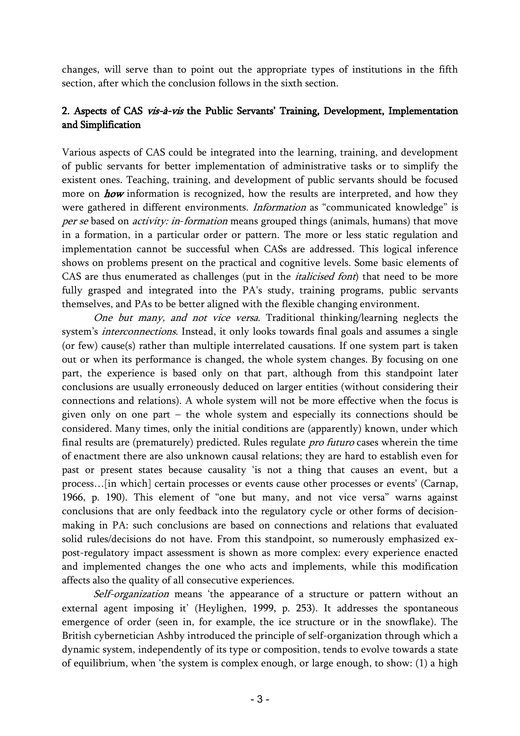changes, will serve than to point out the appropriate types of institutions in the fifth section, after which the conclusion follows in the sixth section.

# 2. Aspects of CAS vis-à-vis the Public Servants' Training, Development, Implementation and Simplification

Various aspects of CAS could be integrated into the learning, training, and development of public servants for better implementation of administrative tasks or to simplify the existent ones. Teaching, training, and development of public servants should be focused more on **how** information is recognized, how the results are interpreted, and how they were gathered in different environments. Information as "communicated knowledge" is per se based on *activity: in-formation* means grouped things (animals, humans) that move in a formation, in a particular order or pattern. The more or less static regulation and implementation cannot be successful when CASs are addressed. This logical inference shows on problems present on the practical and cognitive levels. Some basic elements of CAS are thus enumerated as challenges (put in the *italicised font*) that need to be more fully grasped and integrated into the PA's study, training programs, public servants themselves, and PAs to be better aligned with the flexible changing environment.

One but many, and not vice versa. Traditional thinking/learning neglects the system's *interconnections*. Instead, it only looks towards final goals and assumes a single (or few) cause(s) rather than multiple interrelated causations. If one system part is taken out or when its performance is changed, the whole system changes. By focusing on one part, the experience is based only on that part, although from this standpoint later conclusions are usually erroneously deduced on larger entities (without considering their connections and relations). A whole system will not be more effective when the focus is given only on one part − the whole system and especially its connections should be considered. Many times, only the initial conditions are (apparently) known, under which final results are (prematurely) predicted. Rules regulate pro futuro cases wherein the time of enactment there are also unknown causal relations; they are hard to establish even for past or present states because causality 'is not a thing that causes an event, but a process…[in which] certain processes or events cause other processes or events' (Carnap, 1966, p. 190). This element of "one but many, and not vice versa" warns against conclusions that are only feedback into the regulatory cycle or other forms of decisionmaking in PA: such conclusions are based on connections and relations that evaluated solid rules/decisions do not have. From this standpoint, so numerously emphasized expost-regulatory impact assessment is shown as more complex: every experience enacted and implemented changes the one who acts and implements, while this modification affects also the quality of all consecutive experiences.

Self-organization means 'the appearance of a structure or pattern without an external agent imposing it' (Heylighen, 1999, p. 253). It addresses the spontaneous emergence of order (seen in, for example, the ice structure or in the snowflake). The British cybernetician Ashby introduced the principle of self-organization through which a dynamic system, independently of its type or composition, tends to evolve towards a state of equilibrium, when 'the system is complex enough, or large enough, to show: (1) a high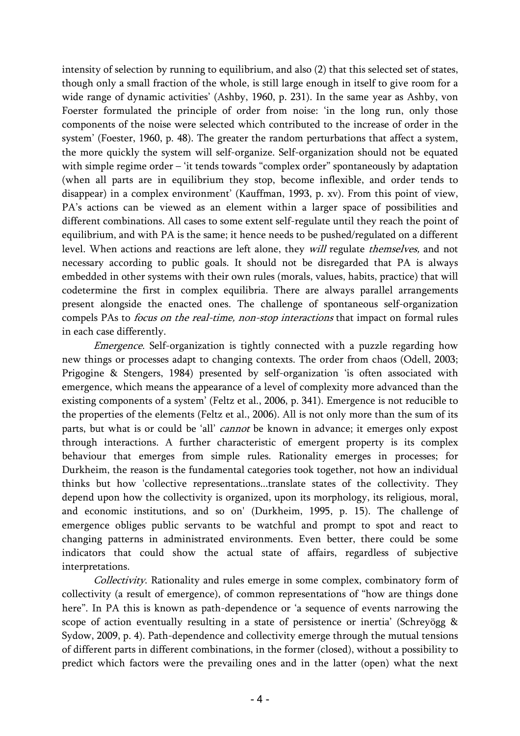intensity of selection by running to equilibrium, and also (2) that this selected set of states, though only a small fraction of the whole, is still large enough in itself to give room for a wide range of dynamic activities' (Ashby, 1960, p. 231). In the same year as Ashby, von Foerster formulated the principle of order from noise: 'in the long run, only those components of the noise were selected which contributed to the increase of order in the system' (Foester, 1960, p. 48). The greater the random perturbations that affect a system, the more quickly the system will self-organize. Self-organization should not be equated with simple regime order – 'it tends towards "complex order" spontaneously by adaptation (when all parts are in equilibrium they stop, become inflexible, and order tends to disappear) in a complex environment' (Kauffman, 1993, p. xv). From this point of view, PA's actions can be viewed as an element within a larger space of possibilities and different combinations. All cases to some extent self-regulate until they reach the point of equilibrium, and with PA is the same; it hence needs to be pushed/regulated on a different level. When actions and reactions are left alone, they will regulate themselves, and not necessary according to public goals. It should not be disregarded that PA is always embedded in other systems with their own rules (morals, values, habits, practice) that will codetermine the first in complex equilibria. There are always parallel arrangements present alongside the enacted ones. The challenge of spontaneous self-organization compels PAs to *focus on the real-time, non-stop interactions* that impact on formal rules in each case differently.

Emergence. Self-organization is tightly connected with a puzzle regarding how new things or processes adapt to changing contexts. The order from chaos (Odell, 2003; Prigogine & Stengers, 1984) presented by self-organization 'is often associated with emergence, which means the appearance of a level of complexity more advanced than the existing components of a system' (Feltz et al., 2006, p. 341). Emergence is not reducible to the properties of the elements (Feltz et al., 2006). All is not only more than the sum of its parts, but what is or could be 'all' *cannot* be known in advance; it emerges only expost through interactions. A further characteristic of emergent property is its complex behaviour that emerges from simple rules. Rationality emerges in processes; for Durkheim, the reason is the fundamental categories took together, not how an individual thinks but how 'collective representations...translate states of the collectivity. They depend upon how the collectivity is organized, upon its morphology, its religious, moral, and economic institutions, and so on' (Durkheim, 1995, p. 15). The challenge of emergence obliges public servants to be watchful and prompt to spot and react to changing patterns in administrated environments. Even better, there could be some indicators that could show the actual state of affairs, regardless of subjective interpretations.

Collectivity. Rationality and rules emerge in some complex, combinatory form of collectivity (a result of emergence), of common representations of "how are things done here". In PA this is known as path-dependence or 'a sequence of events narrowing the scope of action eventually resulting in a state of persistence or inertia' (Schreyögg & Sydow, 2009, p. 4). Path-dependence and collectivity emerge through the mutual tensions of different parts in different combinations, in the former (closed), without a possibility to predict which factors were the prevailing ones and in the latter (open) what the next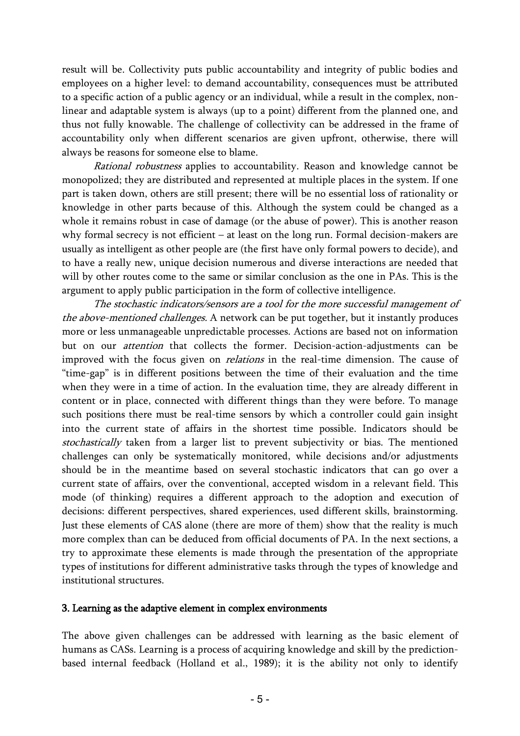result will be. Collectivity puts public accountability and integrity of public bodies and employees on a higher level: to demand accountability, consequences must be attributed to a specific action of a public agency or an individual, while a result in the complex, nonlinear and adaptable system is always (up to a point) different from the planned one, and thus not fully knowable. The challenge of collectivity can be addressed in the frame of accountability only when different scenarios are given upfront, otherwise, there will always be reasons for someone else to blame.

Rational robustness applies to accountability. Reason and knowledge cannot be monopolized; they are distributed and represented at multiple places in the system. If one part is taken down, others are still present; there will be no essential loss of rationality or knowledge in other parts because of this. Although the system could be changed as a whole it remains robust in case of damage (or the abuse of power). This is another reason why formal secrecy is not efficient – at least on the long run. Formal decision-makers are usually as intelligent as other people are (the first have only formal powers to decide), and to have a really new, unique decision numerous and diverse interactions are needed that will by other routes come to the same or similar conclusion as the one in PAs. This is the argument to apply public participation in the form of collective intelligence.

The stochastic indicators/sensors are a tool for the more successful management of the above-mentioned challenges. A network can be put together, but it instantly produces more or less unmanageable unpredictable processes. Actions are based not on information but on our *attention* that collects the former. Decision-action-adjustments can be improved with the focus given on *relations* in the real-time dimension. The cause of "time-gap" is in different positions between the time of their evaluation and the time when they were in a time of action. In the evaluation time, they are already different in content or in place, connected with different things than they were before. To manage such positions there must be real-time sensors by which a controller could gain insight into the current state of affairs in the shortest time possible. Indicators should be stochastically taken from a larger list to prevent subjectivity or bias. The mentioned challenges can only be systematically monitored, while decisions and/or adjustments should be in the meantime based on several stochastic indicators that can go over a current state of affairs, over the conventional, accepted wisdom in a relevant field. This mode (of thinking) requires a different approach to the adoption and execution of decisions: different perspectives, shared experiences, used different skills, brainstorming. Just these elements of CAS alone (there are more of them) show that the reality is much more complex than can be deduced from official documents of PA. In the next sections, a try to approximate these elements is made through the presentation of the appropriate types of institutions for different administrative tasks through the types of knowledge and institutional structures.

## 3. Learning as the adaptive element in complex environments

The above given challenges can be addressed with learning as the basic element of humans as CASs. Learning is a process of acquiring knowledge and skill by the predictionbased internal feedback (Holland et al., 1989); it is the ability not only to identify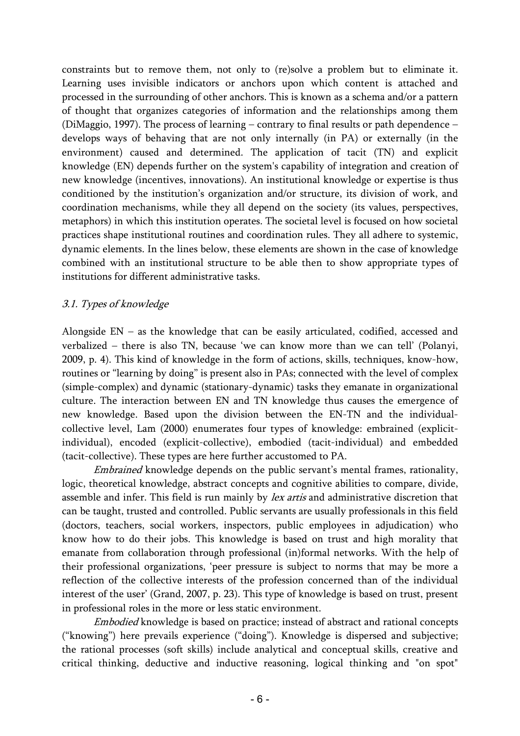constraints but to remove them, not only to (re)solve a problem but to eliminate it. Learning uses invisible indicators or anchors upon which content is attached and processed in the surrounding of other anchors. This is known as a schema and/or a pattern of thought that organizes categories of information and the relationships among them (DiMaggio, 1997). The process of learning − contrary to final results or path dependence − develops ways of behaving that are not only internally (in PA) or externally (in the environment) caused and determined. The application of tacit (TN) and explicit knowledge (EN) depends further on the system's capability of integration and creation of new knowledge (incentives, innovations). An institutional knowledge or expertise is thus conditioned by the institution's organization and/or structure, its division of work, and coordination mechanisms, while they all depend on the society (its values, perspectives, metaphors) in which this institution operates. The societal level is focused on how societal practices shape institutional routines and coordination rules. They all adhere to systemic, dynamic elements. In the lines below, these elements are shown in the case of knowledge combined with an institutional structure to be able then to show appropriate types of institutions for different administrative tasks.

## 3.1. Types of knowledge

Alongside EN − as the knowledge that can be easily articulated, codified, accessed and verbalized − there is also TN, because 'we can know more than we can tell' (Polanyi, 2009, p. 4). This kind of knowledge in the form of actions, skills, techniques, know-how, routines or "learning by doing" is present also in PAs; connected with the level of complex (simple-complex) and dynamic (stationary-dynamic) tasks they emanate in organizational culture. The interaction between EN and TN knowledge thus causes the emergence of new knowledge. Based upon the division between the EN-TN and the individualcollective level, Lam (2000) enumerates four types of knowledge: embrained (explicitindividual), encoded (explicit-collective), embodied (tacit-individual) and embedded (tacit-collective). These types are here further accustomed to PA.

*Embrained* knowledge depends on the public servant's mental frames, rationality, logic, theoretical knowledge, abstract concepts and cognitive abilities to compare, divide, assemble and infer. This field is run mainly by *lex artis* and administrative discretion that can be taught, trusted and controlled. Public servants are usually professionals in this field (doctors, teachers, social workers, inspectors, public employees in adjudication) who know how to do their jobs. This knowledge is based on trust and high morality that emanate from collaboration through professional (in)formal networks. With the help of their professional organizations, 'peer pressure is subject to norms that may be more a reflection of the collective interests of the profession concerned than of the individual interest of the user' (Grand, 2007, p. 23). This type of knowledge is based on trust, present in professional roles in the more or less static environment.

Embodied knowledge is based on practice; instead of abstract and rational concepts ("knowing") here prevails experience ("doing"). Knowledge is dispersed and subjective; the rational processes (soft skills) include analytical and conceptual skills, creative and critical thinking, deductive and inductive reasoning, logical thinking and "on spot"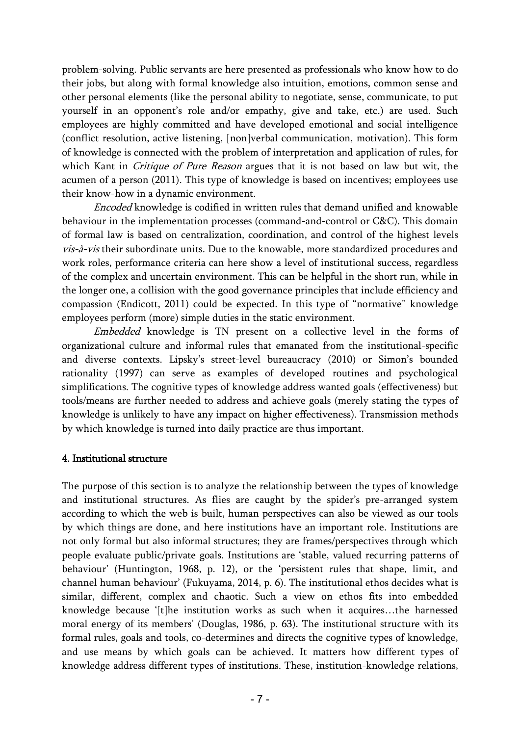problem-solving. Public servants are here presented as professionals who know how to do their jobs, but along with formal knowledge also intuition, emotions, common sense and other personal elements (like the personal ability to negotiate, sense, communicate, to put yourself in an opponent's role and/or empathy, give and take, etc.) are used. Such employees are highly committed and have developed emotional and social intelligence (conflict resolution, active listening, [non]verbal communication, motivation). This form of knowledge is connected with the problem of interpretation and application of rules, for which Kant in *Critique of Pure Reason* argues that it is not based on law but wit, the acumen of a person (2011). This type of knowledge is based on incentives; employees use their know-how in a dynamic environment.

Encoded knowledge is codified in written rules that demand unified and knowable behaviour in the implementation processes (command-and-control or C&C). This domain of formal law is based on centralization, coordination, and control of the highest levels vis-à-vis their subordinate units. Due to the knowable, more standardized procedures and work roles, performance criteria can here show a level of institutional success, regardless of the complex and uncertain environment. This can be helpful in the short run, while in the longer one, a collision with the good governance principles that include efficiency and compassion (Endicott, 2011) could be expected. In this type of "normative" knowledge employees perform (more) simple duties in the static environment.

Embedded knowledge is TN present on a collective level in the forms of organizational culture and informal rules that emanated from the institutional-specific and diverse contexts. Lipsky's street-level bureaucracy (2010) or Simon's bounded rationality (1997) can serve as examples of developed routines and psychological simplifications. The cognitive types of knowledge address wanted goals (effectiveness) but tools/means are further needed to address and achieve goals (merely stating the types of knowledge is unlikely to have any impact on higher effectiveness). Transmission methods by which knowledge is turned into daily practice are thus important.

## 4. Institutional structure

The purpose of this section is to analyze the relationship between the types of knowledge and institutional structures. As flies are caught by the spider's pre-arranged system according to which the web is built, human perspectives can also be viewed as our tools by which things are done, and here institutions have an important role. Institutions are not only formal but also informal structures; they are frames/perspectives through which people evaluate public/private goals. Institutions are 'stable, valued recurring patterns of behaviour' (Huntington, 1968, p. 12), or the 'persistent rules that shape, limit, and channel human behaviour' (Fukuyama, 2014, p. 6). The institutional ethos decides what is similar, different, complex and chaotic. Such a view on ethos fits into embedded knowledge because '[t]he institution works as such when it acquires…the harnessed moral energy of its members' (Douglas, 1986, p. 63). The institutional structure with its formal rules, goals and tools, co-determines and directs the cognitive types of knowledge, and use means by which goals can be achieved. It matters how different types of knowledge address different types of institutions. These, institution-knowledge relations,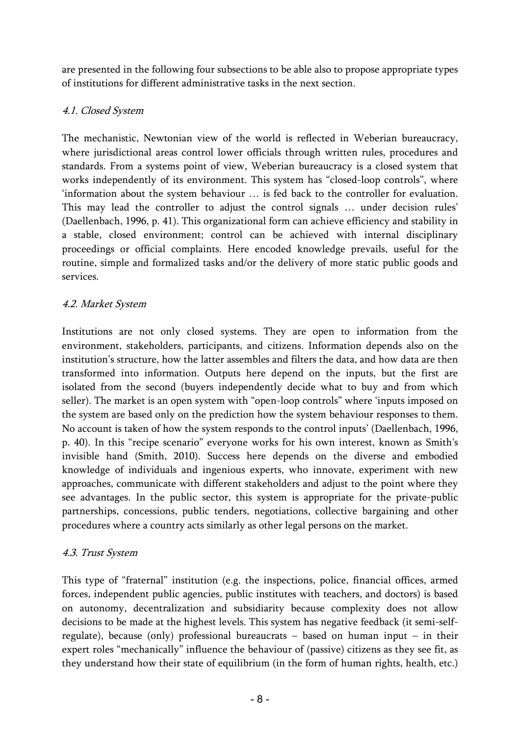are presented in the following four subsections to be able also to propose appropriate types of institutions for different administrative tasks in the next section.

# 4.1. Closed System

The mechanistic, Newtonian view of the world is reflected in Weberian bureaucracy, where jurisdictional areas control lower officials through written rules, procedures and standards. From a systems point of view, Weberian bureaucracy is a closed system that works independently of its environment. This system has "closed-loop controls", where 'information about the system behaviour … is fed back to the controller for evaluation. This may lead the controller to adjust the control signals … under decision rules' (Daellenbach, 1996, p. 41). This organizational form can achieve efficiency and stability in a stable, closed environment; control can be achieved with internal disciplinary proceedings or official complaints. Here encoded knowledge prevails, useful for the routine, simple and formalized tasks and/or the delivery of more static public goods and services.

# 4.2. Market System

Institutions are not only closed systems. They are open to information from the environment, stakeholders, participants, and citizens. Information depends also on the institution's structure, how the latter assembles and filters the data, and how data are then transformed into information. Outputs here depend on the inputs, but the first are isolated from the second (buyers independently decide what to buy and from which seller). The market is an open system with "open-loop controls" where 'inputs imposed on the system are based only on the prediction how the system behaviour responses to them. No account is taken of how the system responds to the control inputs' (Daellenbach, 1996, p. 40). In this "recipe scenario" everyone works for his own interest, known as Smith's invisible hand (Smith, 2010). Success here depends on the diverse and embodied knowledge of individuals and ingenious experts, who innovate, experiment with new approaches, communicate with different stakeholders and adjust to the point where they see advantages. In the public sector, this system is appropriate for the private-public partnerships, concessions, public tenders, negotiations, collective bargaining and other procedures where a country acts similarly as other legal persons on the market.

## 4.3. Trust System

This type of "fraternal" institution (e.g. the inspections, police, financial offices, armed forces, independent public agencies, public institutes with teachers, and doctors) is based on autonomy, decentralization and subsidiarity because complexity does not allow decisions to be made at the highest levels. This system has negative feedback (it semi-selfregulate), because (only) professional bureaucrats − based on human input − in their expert roles "mechanically" influence the behaviour of (passive) citizens as they see fit, as they understand how their state of equilibrium (in the form of human rights, health, etc.)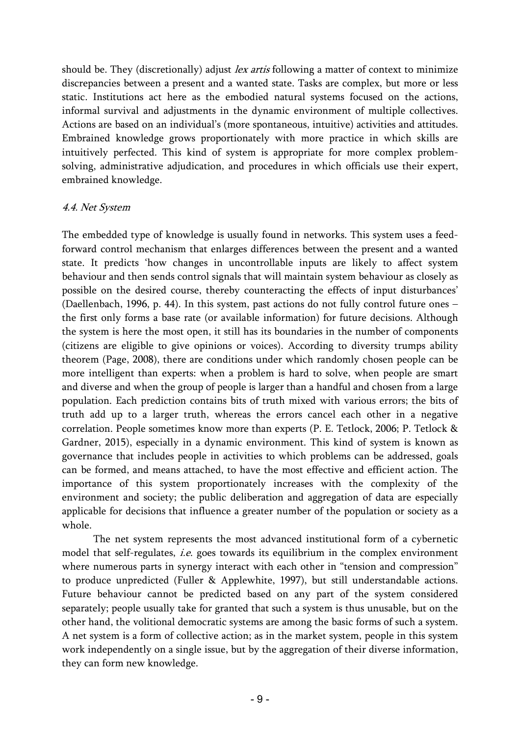should be. They (discretionally) adjust *lex artis* following a matter of context to minimize discrepancies between a present and a wanted state. Tasks are complex, but more or less static. Institutions act here as the embodied natural systems focused on the actions, informal survival and adjustments in the dynamic environment of multiple collectives. Actions are based on an individual's (more spontaneous, intuitive) activities and attitudes. Embrained knowledge grows proportionately with more practice in which skills are intuitively perfected. This kind of system is appropriate for more complex problemsolving, administrative adjudication, and procedures in which officials use their expert, embrained knowledge.

## 4.4. Net System

The embedded type of knowledge is usually found in networks. This system uses a feedforward control mechanism that enlarges differences between the present and a wanted state. It predicts 'how changes in uncontrollable inputs are likely to affect system behaviour and then sends control signals that will maintain system behaviour as closely as possible on the desired course, thereby counteracting the effects of input disturbances' (Daellenbach, 1996, p. 44). In this system, past actions do not fully control future ones − the first only forms a base rate (or available information) for future decisions. Although the system is here the most open, it still has its boundaries in the number of components (citizens are eligible to give opinions or voices). According to diversity trumps ability theorem (Page, 2008), there are conditions under which randomly chosen people can be more intelligent than experts: when a problem is hard to solve, when people are smart and diverse and when the group of people is larger than a handful and chosen from a large population. Each prediction contains bits of truth mixed with various errors; the bits of truth add up to a larger truth, whereas the errors cancel each other in a negative correlation. People sometimes know more than experts (P. E. Tetlock, 2006; P. Tetlock & Gardner, 2015), especially in a dynamic environment. This kind of system is known as governance that includes people in activities to which problems can be addressed, goals can be formed, and means attached, to have the most effective and efficient action. The importance of this system proportionately increases with the complexity of the environment and society; the public deliberation and aggregation of data are especially applicable for decisions that influence a greater number of the population or society as a whole.

The net system represents the most advanced institutional form of a cybernetic model that self-regulates, *i.e.* goes towards its equilibrium in the complex environment where numerous parts in synergy interact with each other in "tension and compression" to produce unpredicted (Fuller & Applewhite, 1997), but still understandable actions. Future behaviour cannot be predicted based on any part of the system considered separately; people usually take for granted that such a system is thus unusable, but on the other hand, the volitional democratic systems are among the basic forms of such a system. A net system is a form of collective action; as in the market system, people in this system work independently on a single issue, but by the aggregation of their diverse information, they can form new knowledge.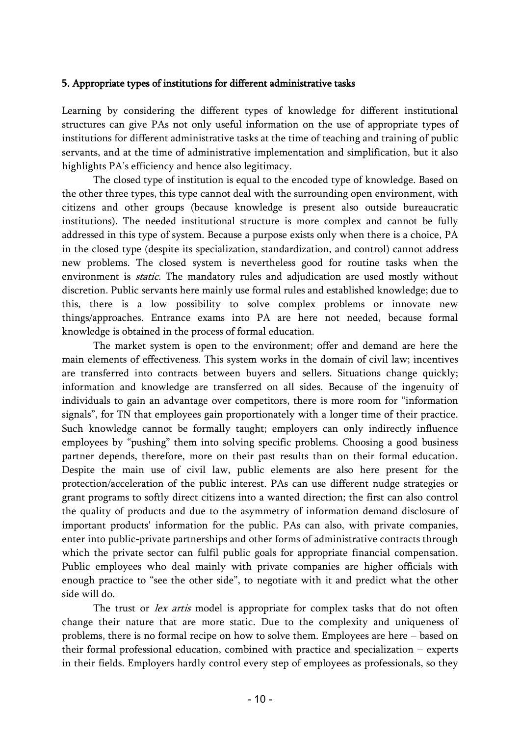## 5. Appropriate types of institutions for different administrative tasks

Learning by considering the different types of knowledge for different institutional structures can give PAs not only useful information on the use of appropriate types of institutions for different administrative tasks at the time of teaching and training of public servants, and at the time of administrative implementation and simplification, but it also highlights PA's efficiency and hence also legitimacy.

The closed type of institution is equal to the encoded type of knowledge. Based on the other three types, this type cannot deal with the surrounding open environment, with citizens and other groups (because knowledge is present also outside bureaucratic institutions). The needed institutional structure is more complex and cannot be fully addressed in this type of system. Because a purpose exists only when there is a choice, PA in the closed type (despite its specialization, standardization, and control) cannot address new problems. The closed system is nevertheless good for routine tasks when the environment is *static*. The mandatory rules and adjudication are used mostly without discretion. Public servants here mainly use formal rules and established knowledge; due to this, there is a low possibility to solve complex problems or innovate new things/approaches. Entrance exams into PA are here not needed, because formal knowledge is obtained in the process of formal education.

The market system is open to the environment; offer and demand are here the main elements of effectiveness. This system works in the domain of civil law; incentives are transferred into contracts between buyers and sellers. Situations change quickly; information and knowledge are transferred on all sides. Because of the ingenuity of individuals to gain an advantage over competitors, there is more room for "information signals", for TN that employees gain proportionately with a longer time of their practice. Such knowledge cannot be formally taught; employers can only indirectly influence employees by "pushing" them into solving specific problems. Choosing a good business partner depends, therefore, more on their past results than on their formal education. Despite the main use of civil law, public elements are also here present for the protection/acceleration of the public interest. PAs can use different nudge strategies or grant programs to softly direct citizens into a wanted direction; the first can also control the quality of products and due to the asymmetry of information demand disclosure of important products' information for the public. PAs can also, with private companies, enter into public-private partnerships and other forms of administrative contracts through which the private sector can fulfil public goals for appropriate financial compensation. Public employees who deal mainly with private companies are higher officials with enough practice to "see the other side", to negotiate with it and predict what the other side will do.

The trust or *lex artis* model is appropriate for complex tasks that do not often change their nature that are more static. Due to the complexity and uniqueness of problems, there is no formal recipe on how to solve them. Employees are here − based on their formal professional education, combined with practice and specialization − experts in their fields. Employers hardly control every step of employees as professionals, so they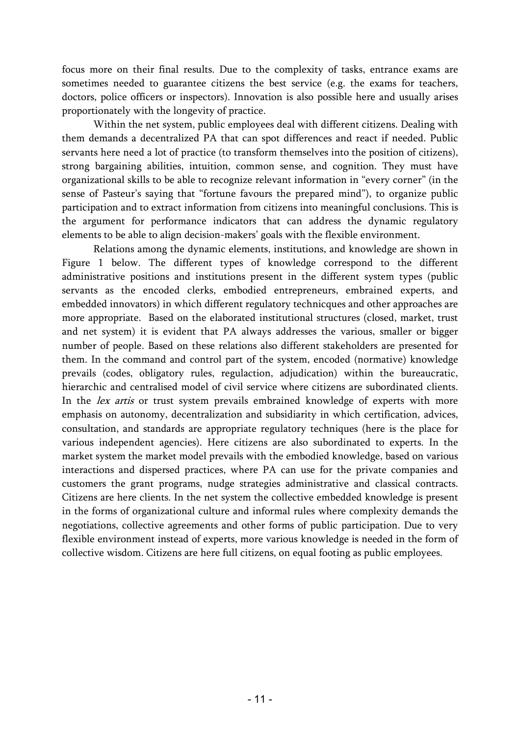focus more on their final results. Due to the complexity of tasks, entrance exams are sometimes needed to guarantee citizens the best service (e.g. the exams for teachers, doctors, police officers or inspectors). Innovation is also possible here and usually arises proportionately with the longevity of practice.

Within the net system, public employees deal with different citizens. Dealing with them demands a decentralized PA that can spot differences and react if needed. Public servants here need a lot of practice (to transform themselves into the position of citizens), strong bargaining abilities, intuition, common sense, and cognition. They must have organizational skills to be able to recognize relevant information in "every corner" (in the sense of Pasteur's saying that "fortune favours the prepared mind"), to organize public participation and to extract information from citizens into meaningful conclusions. This is the argument for performance indicators that can address the dynamic regulatory elements to be able to align decision-makers' goals with the flexible environment.

Relations among the dynamic elements, institutions, and knowledge are shown in Figure 1 below. The different types of knowledge correspond to the different administrative positions and institutions present in the different system types (public servants as the encoded clerks, embodied entrepreneurs, embrained experts, and embedded innovators) in which different regulatory technicques and other approaches are more appropriate. Based on the elaborated institutional structures (closed, market, trust and net system) it is evident that PA always addresses the various, smaller or bigger number of people. Based on these relations also different stakeholders are presented for them. In the command and control part of the system, encoded (normative) knowledge prevails (codes, obligatory rules, regulaction, adjudication) within the bureaucratic, hierarchic and centralised model of civil service where citizens are subordinated clients. In the *lex artis* or trust system prevails embrained knowledge of experts with more emphasis on autonomy, decentralization and subsidiarity in which certification, advices, consultation, and standards are appropriate regulatory techniques (here is the place for various independent agencies). Here citizens are also subordinated to experts. In the market system the market model prevails with the embodied knowledge, based on various interactions and dispersed practices, where PA can use for the private companies and customers the grant programs, nudge strategies administrative and classical contracts. Citizens are here clients. In the net system the collective embedded knowledge is present in the forms of organizational culture and informal rules where complexity demands the negotiations, collective agreements and other forms of public participation. Due to very flexible environment instead of experts, more various knowledge is needed in the form of collective wisdom. Citizens are here full citizens, on equal footing as public employees.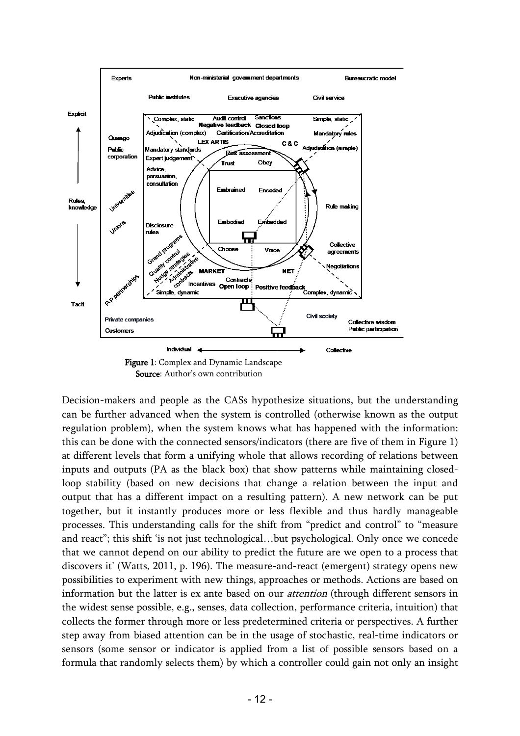

Decision-makers and people as the CASs hypothesize situations, but the understanding can be further advanced when the system is controlled (otherwise known as the output regulation problem), when the system knows what has happened with the information: this can be done with the connected sensors/indicators (there are five of them in Figure 1) at different levels that form a unifying whole that allows recording of relations between inputs and outputs (PA as the black box) that show patterns while maintaining closedloop stability (based on new decisions that change a relation between the input and output that has a different impact on a resulting pattern). A new network can be put together, but it instantly produces more or less flexible and thus hardly manageable processes. This understanding calls for the shift from "predict and control" to "measure and react"; this shift 'is not just technological…but psychological. Only once we concede that we cannot depend on our ability to predict the future are we open to a process that discovers it' (Watts, 2011, p. 196). The measure-and-react (emergent) strategy opens new possibilities to experiment with new things, approaches or methods. Actions are based on information but the latter is ex ante based on our *attention* (through different sensors in the widest sense possible, e.g., senses, data collection, performance criteria, intuition) that collects the former through more or less predetermined criteria or perspectives. A further step away from biased attention can be in the usage of stochastic, real-time indicators or sensors (some sensor or indicator is applied from a list of possible sensors based on a formula that randomly selects them) by which a controller could gain not only an insight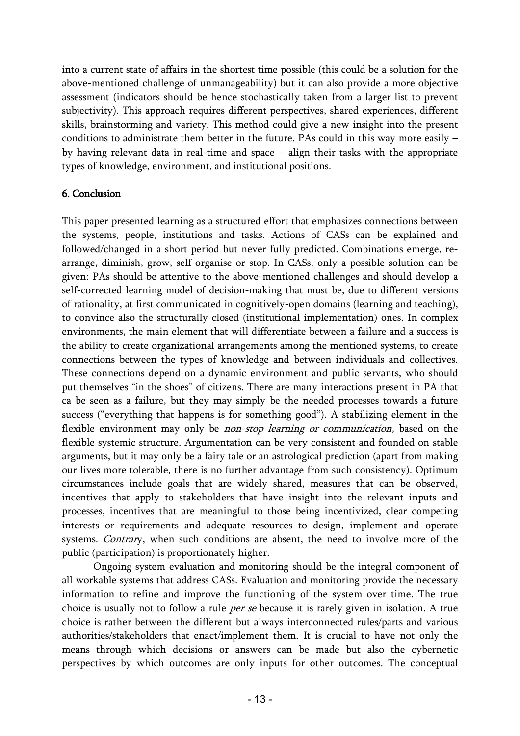into a current state of affairs in the shortest time possible (this could be a solution for the above-mentioned challenge of unmanageability) but it can also provide a more objective assessment (indicators should be hence stochastically taken from a larger list to prevent subjectivity). This approach requires different perspectives, shared experiences, different skills, brainstorming and variety. This method could give a new insight into the present conditions to administrate them better in the future. PAs could in this way more easily − by having relevant data in real-time and space − align their tasks with the appropriate types of knowledge, environment, and institutional positions.

## 6. Conclusion

This paper presented learning as a structured effort that emphasizes connections between the systems, people, institutions and tasks. Actions of CASs can be explained and followed/changed in a short period but never fully predicted. Combinations emerge, rearrange, diminish, grow, self-organise or stop. In CASs, only a possible solution can be given: PAs should be attentive to the above-mentioned challenges and should develop a self-corrected learning model of decision-making that must be, due to different versions of rationality, at first communicated in cognitively-open domains (learning and teaching), to convince also the structurally closed (institutional implementation) ones. In complex environments, the main element that will differentiate between a failure and a success is the ability to create organizational arrangements among the mentioned systems, to create connections between the types of knowledge and between individuals and collectives. These connections depend on a dynamic environment and public servants, who should put themselves "in the shoes" of citizens. There are many interactions present in PA that ca be seen as a failure, but they may simply be the needed processes towards a future success ("everything that happens is for something good"). A stabilizing element in the flexible environment may only be *non-stop learning or communication*, based on the flexible systemic structure. Argumentation can be very consistent and founded on stable arguments, but it may only be a fairy tale or an astrological prediction (apart from making our lives more tolerable, there is no further advantage from such consistency). Optimum circumstances include goals that are widely shared, measures that can be observed, incentives that apply to stakeholders that have insight into the relevant inputs and processes, incentives that are meaningful to those being incentivized, clear competing interests or requirements and adequate resources to design, implement and operate systems. Contrary, when such conditions are absent, the need to involve more of the public (participation) is proportionately higher.

Ongoing system evaluation and monitoring should be the integral component of all workable systems that address CASs. Evaluation and monitoring provide the necessary information to refine and improve the functioning of the system over time. The true choice is usually not to follow a rule *per se* because it is rarely given in isolation. A true choice is rather between the different but always interconnected rules/parts and various authorities/stakeholders that enact/implement them. It is crucial to have not only the means through which decisions or answers can be made but also the cybernetic perspectives by which outcomes are only inputs for other outcomes. The conceptual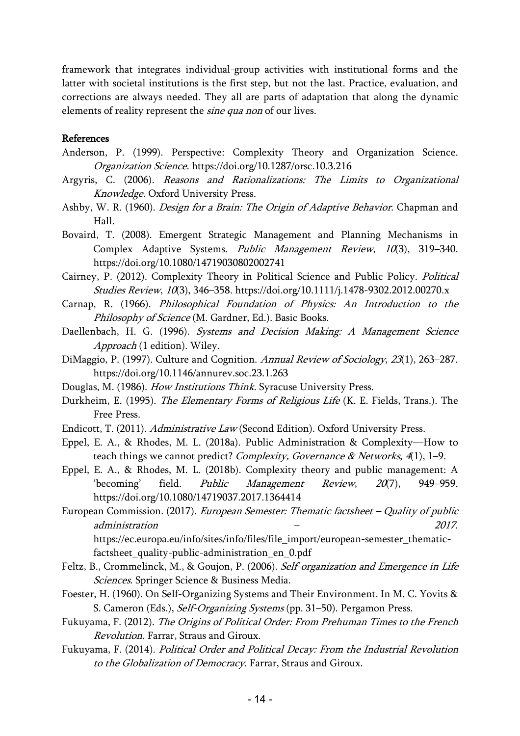framework that integrates individual-group activities with institutional forms and the latter with societal institutions is the first step, but not the last. Practice, evaluation, and corrections are always needed. They all are parts of adaptation that along the dynamic elements of reality represent the *sine qua non* of our lives.

## References

- Anderson, P. (1999). Perspective: Complexity Theory and Organization Science. Organization Science. https://doi.org/10.1287/orsc.10.3.216
- Argyris, C. (2006). Reasons and Rationalizations: The Limits to Organizational Knowledge. Oxford University Press.
- Ashby, W. R. (1960). Design for a Brain: The Origin of Adaptive Behavior. Chapman and Hall.
- Bovaird, T. (2008). Emergent Strategic Management and Planning Mechanisms in Complex Adaptive Systems. Public Management Review, 10(3), 319-340. https://doi.org/10.1080/14719030802002741
- Cairney, P. (2012). Complexity Theory in Political Science and Public Policy. Political Studies Review, 10(3), 346-358. https://doi.org/10.1111/j.1478-9302.2012.00270.x
- Carnap, R. (1966). Philosophical Foundation of Physics: An Introduction to the Philosophy of Science (M. Gardner, Ed.). Basic Books.
- Daellenbach, H. G. (1996). Systems and Decision Making: A Management Science Approach (1 edition). Wiley.
- DiMaggio, P. (1997). Culture and Cognition. Annual Review of Sociology, 23(1), 263–287. https://doi.org/10.1146/annurev.soc.23.1.263
- Douglas, M. (1986). How Institutions Think. Syracuse University Press.
- Durkheim, E. (1995). The Elementary Forms of Religious Life (K. E. Fields, Trans.). The Free Press.
- Endicott, T. (2011). Administrative Law (Second Edition). Oxford University Press.
- Eppel, E. A., & Rhodes, M. L. (2018a). Public Administration & Complexity—How to teach things we cannot predict? Complexity, Governance & Networks, 4(1), 1-9.
- Eppel, E. A., & Rhodes, M. L. (2018b). Complexity theory and public management: A 'becoming' field. Public Management Review, 20(7), 949–959. https://doi.org/10.1080/14719037.2017.1364414
- European Commission. (2017). European Semester: Thematic factsheet Quality of public administration – 2017. https://ec.europa.eu/info/sites/info/files/file\_import/european-semester\_thematicfactsheet\_quality-public-administration\_en\_0.pdf
- Feltz, B., Crommelinck, M., & Goujon, P. (2006). Self-organization and Emergence in Life Sciences. Springer Science & Business Media.
- Foester, H. (1960). On Self-Organizing Systems and Their Environment. In M. C. Yovits & S. Cameron (Eds.), Self-Organizing Systems (pp. 31–50). Pergamon Press.
- Fukuyama, F. (2012). The Origins of Political Order: From Prehuman Times to the French Revolution. Farrar, Straus and Giroux.
- Fukuyama, F. (2014). Political Order and Political Decay: From the Industrial Revolution to the Globalization of Democracy. Farrar, Straus and Giroux.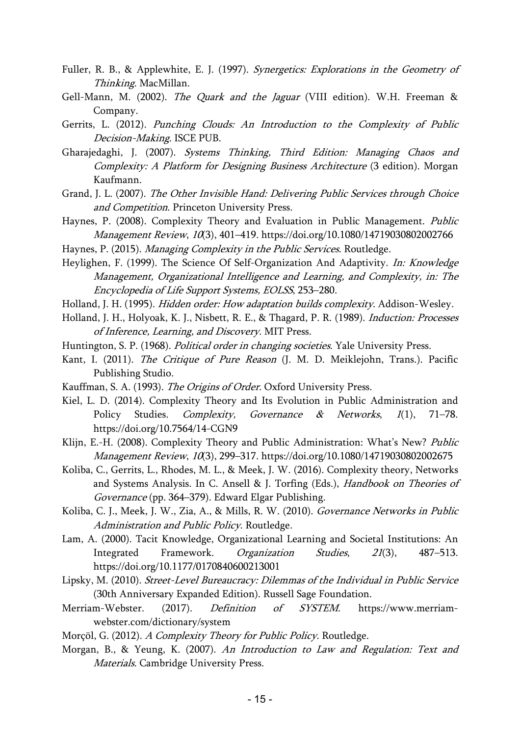- Fuller, R. B., & Applewhite, E. J. (1997). Synergetics: Explorations in the Geometry of Thinking. MacMillan.
- Gell-Mann, M. (2002). The Quark and the Jaguar (VIII edition). W.H. Freeman & Company.
- Gerrits, L. (2012). Punching Clouds: An Introduction to the Complexity of Public Decision-Making. ISCE PUB.
- Gharajedaghi, J. (2007). Systems Thinking, Third Edition: Managing Chaos and Complexity: A Platform for Designing Business Architecture (3 edition). Morgan Kaufmann.
- Grand, J. L. (2007). The Other Invisible Hand: Delivering Public Services through Choice and Competition. Princeton University Press.
- Haynes, P. (2008). Complexity Theory and Evaluation in Public Management. Public Management Review, 10(3), 401–419. https://doi.org/10.1080/14719030802002766
- Haynes, P. (2015). Managing Complexity in the Public Services. Routledge.
- Heylighen, F. (1999). The Science Of Self-Organization And Adaptivity. In: Knowledge Management, Organizational Intelligence and Learning, and Complexity, in: The Encyclopedia of Life Support Systems, EOLSS, 253–280.
- Holland, J. H. (1995). *Hidden order: How adaptation builds complexity*. Addison-Wesley.
- Holland, J. H., Holyoak, K. J., Nisbett, R. E., & Thagard, P. R. (1989). *Induction: Processes* of Inference, Learning, and Discovery. MIT Press.
- Huntington, S. P. (1968). Political order in changing societies. Yale University Press.
- Kant, I. (2011). The Critique of Pure Reason (J. M. D. Meiklejohn, Trans.). Pacific Publishing Studio.
- Kauffman, S. A. (1993). The Origins of Order. Oxford University Press.
- Kiel, L. D. (2014). Complexity Theory and Its Evolution in Public Administration and Policy Studies. Complexity, Governance & Networks, 1(1), 71-78. https://doi.org/10.7564/14-CGN9
- Klijn, E.-H. (2008). Complexity Theory and Public Administration: What's New? Public Management Review, 10(3), 299–317. https://doi.org/10.1080/14719030802002675
- Koliba, C., Gerrits, L., Rhodes, M. L., & Meek, J. W. (2016). Complexity theory, Networks and Systems Analysis. In C. Ansell & J. Torfing (Eds.), Handbook on Theories of Governance (pp. 364–379). Edward Elgar Publishing.
- Koliba, C. J., Meek, J. W., Zia, A., & Mills, R. W. (2010). Governance Networks in Public Administration and Public Policy. Routledge.
- Lam, A. (2000). Tacit Knowledge, Organizational Learning and Societal Institutions: An Integrated Framework. Organization Studies, 21(3), 487–513. https://doi.org/10.1177/0170840600213001
- Lipsky, M. (2010). Street-Level Bureaucracy: Dilemmas of the Individual in Public Service (30th Anniversary Expanded Edition). Russell Sage Foundation.
- Merriam-Webster. (2017). Definition of SYSTEM. https://www.merriamwebster.com/dictionary/system
- Morçöl, G. (2012). A Complexity Theory for Public Policy. Routledge.
- Morgan, B., & Yeung, K. (2007). An Introduction to Law and Regulation: Text and Materials. Cambridge University Press.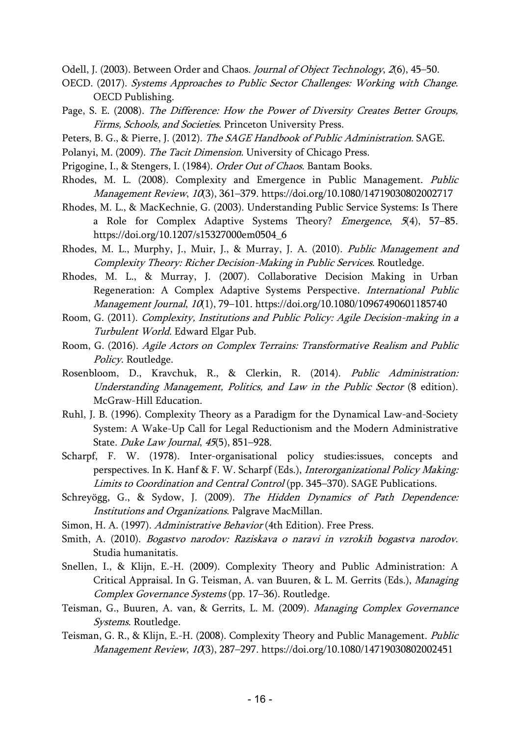Odell, J. (2003). Between Order and Chaos. Journal of Object Technology, 2(6), 45-50.

- OECD. (2017). Systems Approaches to Public Sector Challenges: Working with Change. OECD Publishing.
- Page, S. E. (2008). The Difference: How the Power of Diversity Creates Better Groups, Firms, Schools, and Societies. Princeton University Press.
- Peters, B. G., & Pierre, J. (2012). The SAGE Handbook of Public Administration. SAGE.
- Polanyi, M. (2009). The Tacit Dimension. University of Chicago Press.
- Prigogine, I., & Stengers, I. (1984). Order Out of Chaos. Bantam Books.
- Rhodes, M. L. (2008). Complexity and Emergence in Public Management. Public Management Review, 10(3), 361–379. https://doi.org/10.1080/14719030802002717
- Rhodes, M. L., & MacKechnie, G. (2003). Understanding Public Service Systems: Is There a Role for Complex Adaptive Systems Theory? *Emergence*, 5(4), 57–85. https://doi.org/10.1207/s15327000em0504\_6
- Rhodes, M. L., Murphy, J., Muir, J., & Murray, J. A. (2010). Public Management and Complexity Theory: Richer Decision-Making in Public Services. Routledge.
- Rhodes, M. L., & Murray, J. (2007). Collaborative Decision Making in Urban Regeneration: A Complex Adaptive Systems Perspective. International Public Management Journal, 10(1), 79–101. https://doi.org/10.1080/10967490601185740
- Room, G. (2011). Complexity, Institutions and Public Policy: Agile Decision-making in a Turbulent World. Edward Elgar Pub.
- Room, G. (2016). Agile Actors on Complex Terrains: Transformative Realism and Public Policy. Routledge.
- Rosenbloom, D., Kravchuk, R., & Clerkin, R. (2014). Public Administration: Understanding Management, Politics, and Law in the Public Sector (8 edition). McGraw-Hill Education.
- Ruhl, J. B. (1996). Complexity Theory as a Paradigm for the Dynamical Law-and-Society System: A Wake-Up Call for Legal Reductionism and the Modern Administrative State. Duke Law Journal, 45(5), 851–928.
- Scharpf, F. W. (1978). Inter-organisational policy studies:issues, concepts and perspectives. In K. Hanf & F. W. Scharpf (Eds.), Interorganizational Policy Making: Limits to Coordination and Central Control (pp. 345–370). SAGE Publications.
- Schreyögg, G., & Sydow, J. (2009). The Hidden Dynamics of Path Dependence: Institutions and Organizations. Palgrave MacMillan.
- Simon, H. A. (1997). Administrative Behavior (4th Edition). Free Press.
- Smith, A. (2010). Bogastvo narodov: Raziskava o naravi in vzrokih bogastva narodov. Studia humanitatis.
- Snellen, I., & Klijn, E.-H. (2009). Complexity Theory and Public Administration: A Critical Appraisal. In G. Teisman, A. van Buuren, & L. M. Gerrits (Eds.), Managing Complex Governance Systems (pp. 17–36). Routledge.
- Teisman, G., Buuren, A. van, & Gerrits, L. M. (2009). Managing Complex Governance Systems. Routledge.
- Teisman, G. R., & Klijn, E.-H. (2008). Complexity Theory and Public Management. Public Management Review, 10(3), 287–297. https://doi.org/10.1080/14719030802002451